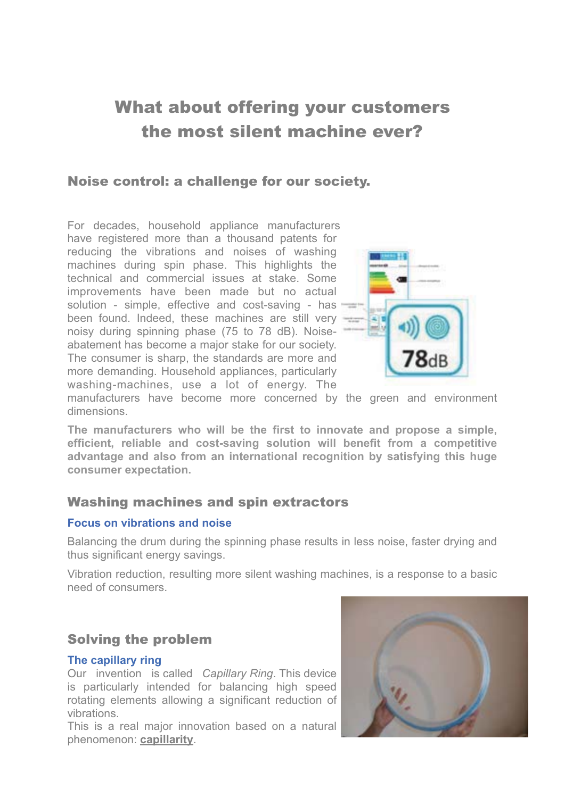# What about offering your customers the most silent machine ever?

## Noise control: a challenge for our society.

For decades, household appliance manufacturers have registered more than a thousand patents for reducing the vibrations and noises of washing machines during spin phase. This highlights the technical and commercial issues at stake. Some improvements have been made but no actual solution - simple, effective and cost-saving - has been found. Indeed, these machines are still very noisy during spinning phase (75 to 78 dB). Noiseabatement has become a major stake for our society. The consumer is sharp, the standards are more and more demanding. Household appliances, particularly washing-machines, use a lot of energy. The



manufacturers have become more concerned by the green and environment dimensions.

**The manufacturers who will be the first to innovate and propose a simple, efficient, reliable and cost-saving solution will benefit from a competitive advantage and also from an international recognition by satisfying this huge consumer expectation.** 

## Washing machines and spin extractors

#### **Focus on vibrations and noise**

Balancing the drum during the spinning phase results in less noise, faster drying and thus significant energy savings.

Vibration reduction, resulting more silent washing machines, is a response to a basic need of consumers.

## Solving the problem

#### **The capillary ring**

Our invention is called *Capillary Ring*. This device is particularly intended for balancing high speed rotating elements allowing a significant reduction of vibrations.

This is a real major innovation based on a natural phenomenon: **capillarity**.

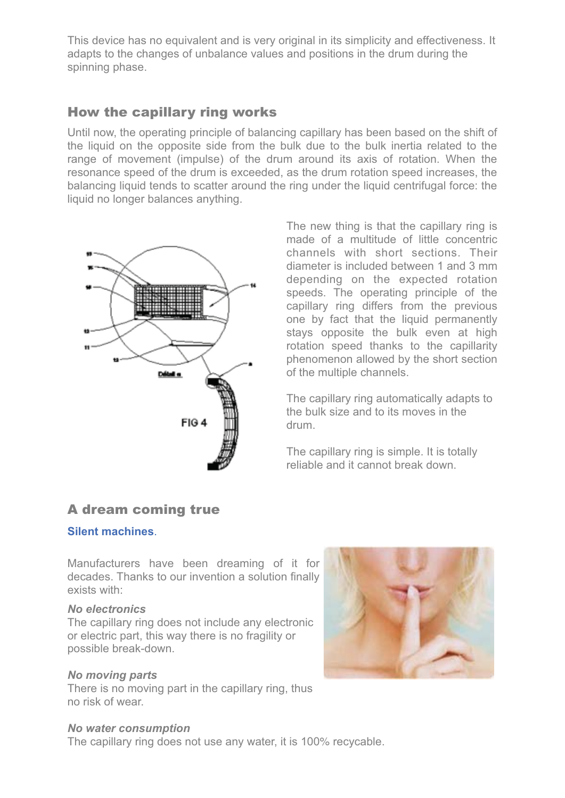This device has no equivalent and is very original in its simplicity and effectiveness. It adapts to the changes of unbalance values and positions in the drum during the spinning phase.

# How the capillary ring works

Until now, the operating principle of balancing capillary has been based on the shift of the liquid on the opposite side from the bulk due to the bulk inertia related to the range of movement (impulse) of the drum around its axis of rotation. When the resonance speed of the drum is exceeded, as the drum rotation speed increases, the balancing liquid tends to scatter around the ring under the liquid centrifugal force: the liquid no longer balances anything.



The new thing is that the capillary ring is made of a multitude of little concentric channels with short sections. Their diameter is included between 1 and 3 mm depending on the expected rotation speeds. The operating principle of the capillary ring differs from the previous one by fact that the liquid permanently stays opposite the bulk even at high rotation speed thanks to the capillarity phenomenon allowed by the short section of the multiple channels.

The capillary ring automatically adapts to the bulk size and to its moves in the drum.

The capillary ring is simple. It is totally reliable and it cannot break down.

## A dream coming true

#### **Silent machines**.

Manufacturers have been dreaming of it for decades. Thanks to our invention a solution finally exists with:

#### *No electronics*

The capillary ring does not include any electronic or electric part, this way there is no fragility or possible break-down.

#### *No moving parts*

There is no moving part in the capillary ring, thus no risk of wear.

#### *No water consumption*

The capillary ring does not use any water, it is 100% recycable.

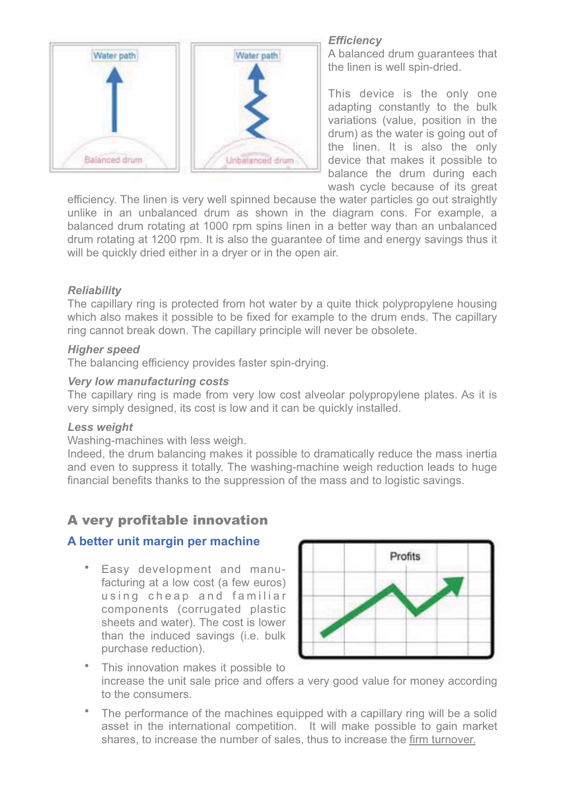

## *Efficiency*

A balanced drum guarantees that the linen is well spin-dried.

This device is the only one adapting constantly to the bulk variations (value, position in the drum) as the water is going out of the linen. It is also the only device that makes it possible to balance the drum during each wash cycle because of its great

efficiency. The linen is very well spinned because the water particles go out straightly unlike in an unbalanced drum as shown in the diagram cons. For example, a balanced drum rotating at 1000 rpm spins linen in a better way than an unbalanced drum rotating at 1200 rpm. It is also the guarantee of time and energy savings thus it will be quickly dried either in a dryer or in the open air.

## *Reliability*

The capillary ring is protected from hot water by a quite thick polypropylene housing which also makes it possible to be fixed for example to the drum ends. The capillary ring cannot break down. The capillary principle will never be obsolete.

#### *Higher speed*

The balancing efficiency provides faster spin-drying.

#### *Very low manufacturing costs*

The capillary ring is made from very low cost alveolar polypropylene plates. As it is very simply designed, its cost is low and it can be quickly installed.

#### *Less weight*

Washing-machines with less weigh.

Indeed, the drum balancing makes it possible to dramatically reduce the mass inertia and even to suppress it totally. The washing-machine weigh reduction leads to huge financial benefits thanks to the suppression of the mass and to logistic savings.

# A very profitable innovation

## **A better unit margin per machine**

• Easy development and manufacturing at a low cost (a few euros) using cheap and familiar components (corrugated plastic sheets and water). The cost is lower than the induced savings (i.e. bulk purchase reduction).



- This innovation makes it possible to increase the unit sale price and offers a very good value for money according to the consumers.
- The performance of the machines equipped with a capillary ring will be a solid asset in the international competition. It will make possible to gain market shares, to increase the number of sales, thus to increase the firm turnover.